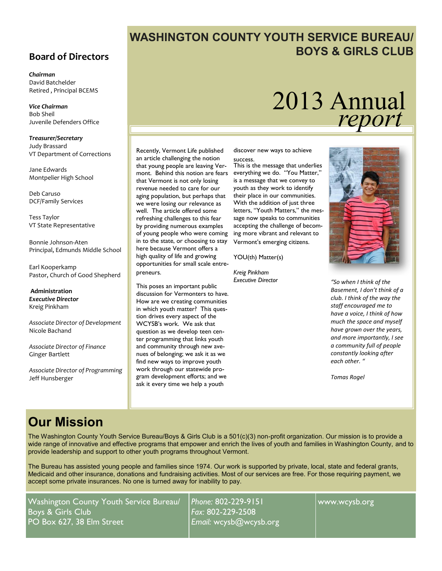#### **Board of Directors**

*Chairman* David Batchelder Retired , Principal BCEMS

*Vice Chairman* Bob Sheil Juvenile Defenders Office

*Treasurer/Secretary* Judy Brassard VT Department of Corrections

Jane Edwards Montpelier High School

Deb Caruso DCF/Family Services

Tess Taylor VT State Representative

Bonnie Johnson-Aten Principal, Edmunds Middle School

Earl Kooperkamp Pastor, Church of Good Shepherd

**Administration** *Executive Director* Kreig Pinkham

*Associate Director of Development* Nicole Bachand

*Associate Director of Finance* Ginger Bartlett

*Associate Director of Programming* Jeff Hunsberger

## **WASHINGTON COUNTY YOUTH SERVICE BUREAU/ BOYS & GIRLS CLUB**

# 2013 Annual *report*

Recently, Vermont Life published an article challenging the notion that young people are leaving Vermont. Behind this notion are fears that Vermont is not only losing revenue needed to care for our aging population, but perhaps that we were losing our relevance as well. The article offered some refreshing challenges to this fear by providing numerous examples of young people who were coming in to the state, or choosing to stay here because Vermont offers a high quality of life and growing opportunities for small scale entrepreneurs.

This poses an important public discussion for Vermonters to have. How are we creating communities in which youth matter? This question drives every aspect of the WCYSB's work. We ask that question as we develop teen center programming that links youth and community through new avenues of belonging; we ask it as we find new ways to improve youth work through our statewide program development efforts; and we ask it every time we help a youth

discover new ways to achieve success.

This is the message that underlies everything we do. "You Matter," is a message that we convey to youth as they work to identify their place in our communities. With the addition of just three letters, "Youth Matters," the message now speaks to communities accepting the challenge of becoming more vibrant and relevant to Vermont's emerging citizens.

YOU(th) Matter(s)

*Kreig Pinkham Executive Director*



*"So when I think of the Basement, I don't think of a club. I think of the way the staff encouraged me to have a voice, I think of how much the space and myself have grown over the years, and more importantly, I see a community full of people constantly looking after each other. "*

*Tomas Rogel*

# **Our Mission**

The Washington County Youth Service Bureau/Boys & Girls Club is a 501(c)(3) non-profit organization. Our mission is to provide a wide range of innovative and effective programs that empower and enrich the lives of youth and families in Washington County, and to provide leadership and support to other youth programs throughout Vermont.

The Bureau has assisted young people and families since 1974. Our work is supported by private, local, state and federal grants, Medicaid and other insurance, donations and fundraising activities. Most of our services are free. For those requiring payment, we accept some private insurances. No one is turned away for inability to pay.

Washington County Youth Service Bureau/ Boys & Girls Club PO Box 627, 38 Elm Street

*Phone:* 802-229-9151 *Fax:* 802-229-2508 *Email:* wcysb@wcysb.org

www.wcysb.org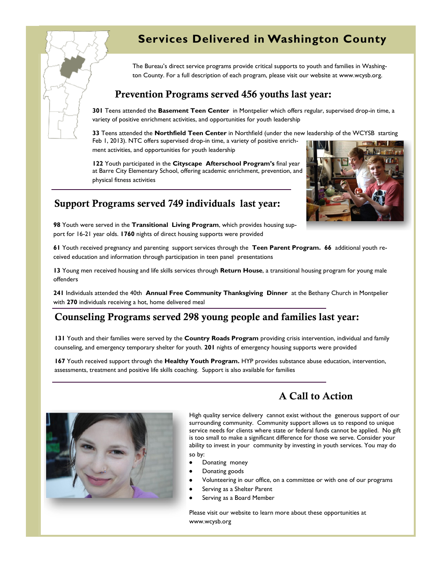## **Services Delivered in Washington County**

The Bureau's direct service programs provide critical supports to youth and families in Washington County. For a full description of each program, please visit our website at www.wcysb.org.

#### **Prevention Programs served 456 youths last year:**

**301** Teens attended the **Basement Teen Center** in Montpelier which offers regular, supervised drop-in time, a variety of positive enrichment activities, and opportunities for youth leadership

**33** Teens attended the **Northfield Teen Center** in Northfield (under the new leadership of the WCYSB starting Feb 1, 2013). NTC offers supervised drop-in time, a variety of positive enrich-

ment activities, and opportunities for youth leadership

**122** Youth participated in the **Cityscape Afterschool Program's** final year at Barre City Elementary School, offering academic enrichment, prevention, and physical fitness activities

### **Support Programs served 749 individuals last year:**

**98** Youth were served in the **Transitional Living Program**, which provides housing support for 16-21 year olds. **1760** nights of direct housing supports were provided

**61** Youth received pregnancy and parenting support services through the **Teen Parent Program. 66** additional youth received education and information through participation in teen panel presentations

**13** Young men received housing and life skills services through **Return House**, a transitional housing program for young male offenders

**241** Individuals attended the 40th **Annual Free Community Thanksgiving Dinner** at the Bethany Church in Montpelier with **270** individuals receiving a hot, home delivered meal

#### **Counseling Programs served 298 young people and families last year:**

**131** Youth and their families were served by the **Country Roads Program** providing crisis intervention, individual and family counseling, and emergency temporary shelter for youth. **201** nights of emergency housing supports were provided

**167** Youth received support through the **Healthy Youth Program.** HYP provides substance abuse education, intervention, assessments, treatment and positive life skills coaching. Support is also available for families



Serving as a Shelter Parent

Serving as a Board Member

Please visit our website to learn more about these opportunities at www.wcysb.org







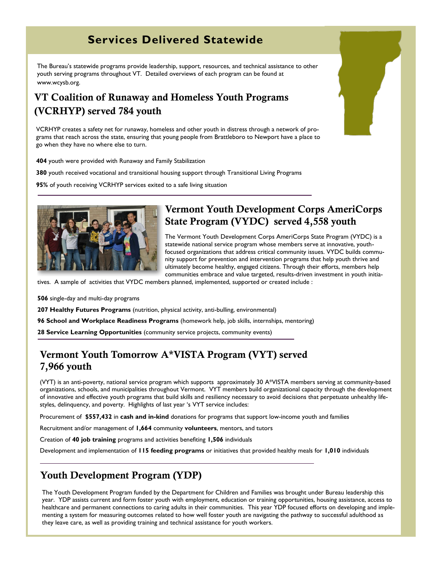## **Services Delivered Statewide**

The Bureau's statewide programs provide leadership, support, resources, and technical assistance to other youth serving programs throughout VT. Detailed overviews of each program can be found at www.wcysb.org.

## **VT Coalition of Runaway and Homeless Youth Programs (VCRHYP) served 784 youth**

VCRHYP creates a safety net for runaway, homeless and other youth in distress through a network of programs that reach across the state, ensuring that young people from Brattleboro to Newport have a place to go when they have no where else to turn.

**404** youth were provided with Runaway and Family Stabilization

**380** youth received vocational and transitional housing support through Transitional Living Programs

**95%** of youth receiving VCRHYP services exited to a safe living situation



#### **Vermont Youth Development Corps AmeriCorps State Program (VYDC) served 4,558 youth**

The Vermont Youth Development Corps AmeriCorps State Program (VYDC) is a statewide national service program whose members serve at innovative, youthfocused organizations that address critical community issues. VYDC builds community support for prevention and intervention programs that help youth thrive and ultimately become healthy, engaged citizens. Through their efforts, members help communities embrace and value targeted, results-driven investment in youth initia-

tives. A sample of activities that VYDC members planned, implemented, supported or created include :

**506** single-day and multi-day programs

**207 Healthy Futures Programs** (nutrition, physical activity, anti-bulling, environmental)

**96 School and Workplace Readiness Programs** (homework help, job skills, internships, mentoring)

**28 Service Learning Opportunities** (community service projects, community events)

#### **Vermont Youth Tomorrow A\*VISTA Program (VYT) served 7,966 youth**

(VYT) is an anti-poverty, national service program which supports approximately 30 A\*VISTA members serving at community-based organizations, schools, and municipalities throughout Vermont. VYT members build organizational capacity through the development of innovative and effective youth programs that build skills and resiliency necessary to avoid decisions that perpetuate unhealthy lifestyles, delinquency, and poverty. Highlights of last year 's VYT service includes:

Procurement of **\$557,432** in **cash and in-kind** donations for programs that support low-income youth and families

Recruitment and/or management of **1,664** community **volunteers**, mentors, and tutors

Creation of **40 job training** programs and activities benefiting **1,506** individuals

Development and implementation of **115 feeding programs** or initiatives that provided healthy meals for **1,010** individuals

#### **Youth Development Program (YDP)**

The Youth Development Program funded by the Department for Children and Families was brought under Bureau leadership this year. YDP assists current and form foster youth with employment, education or training opportunities, housing assistance, access to healthcare and permanent connections to caring adults in their communities. This year YDP focused efforts on developing and implementing a system for measuring outcomes related to how well foster youth are navigating the pathway to successful adulthood as they leave care, as well as providing training and technical assistance for youth workers.